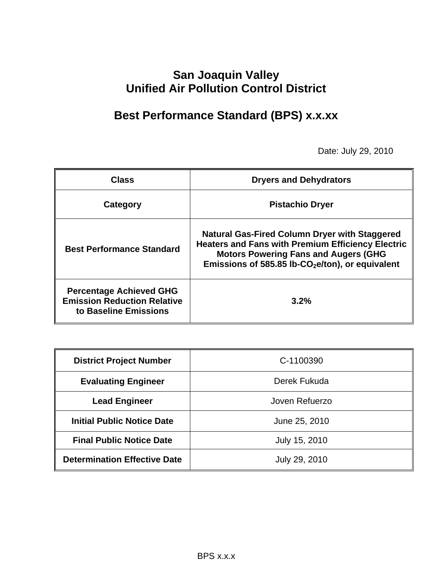# **San Joaquin Valley Unified Air Pollution Control District**

# **Best Performance Standard (BPS) x.x.xx**

Date: July 29, 2010

| <b>Class</b>                                                                                  | <b>Dryers and Dehydrators</b>                                                                                                                                                                                         |
|-----------------------------------------------------------------------------------------------|-----------------------------------------------------------------------------------------------------------------------------------------------------------------------------------------------------------------------|
| Category                                                                                      | <b>Pistachio Dryer</b>                                                                                                                                                                                                |
| <b>Best Performance Standard</b>                                                              | <b>Natural Gas-Fired Column Dryer with Staggered</b><br><b>Heaters and Fans with Premium Efficiency Electric</b><br><b>Motors Powering Fans and Augers (GHG</b><br>Emissions of 585.85 lb- $CO2e/ton$ , or equivalent |
| <b>Percentage Achieved GHG</b><br><b>Emission Reduction Relative</b><br>to Baseline Emissions | $3.2\%$                                                                                                                                                                                                               |

| <b>District Project Number</b>      | C-1100390      |
|-------------------------------------|----------------|
| <b>Evaluating Engineer</b>          | Derek Fukuda   |
| <b>Lead Engineer</b>                | Joven Refuerzo |
| <b>Initial Public Notice Date</b>   | June 25, 2010  |
| <b>Final Public Notice Date</b>     | July 15, 2010  |
| <b>Determination Effective Date</b> | July 29, 2010  |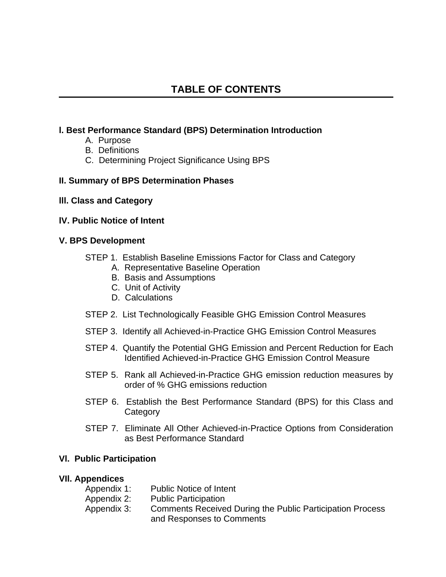## **TABLE OF CONTENTS**

#### **l. Best Performance Standard (BPS) Determination Introduction**

- A. Purpose
- B. Definitions
- C. Determining Project Significance Using BPS

#### **II. Summary of BPS Determination Phases**

**lll. Class and Category** 

#### **lV. Public Notice of Intent**

#### **V. BPS Development**

- STEP 1. Establish Baseline Emissions Factor for Class and Category
	- A. Representative Baseline Operation
	- B. Basis and Assumptions
	- C. Unit of Activity
	- D. Calculations
- STEP 2. List Technologically Feasible GHG Emission Control Measures
- STEP 3. Identify all Achieved-in-Practice GHG Emission Control Measures
- STEP 4. Quantify the Potential GHG Emission and Percent Reduction for Each Identified Achieved-in-Practice GHG Emission Control Measure
- STEP 5. Rank all Achieved-in-Practice GHG emission reduction measures by order of % GHG emissions reduction
- STEP 6. Establish the Best Performance Standard (BPS) for this Class and **Category**
- STEP 7. Eliminate All Other Achieved-in-Practice Options from Consideration as Best Performance Standard

#### **Vl. Public Participation**

#### **VIl. Appendices**

| Appendix 1: | <b>Public Notice of Intent</b>                                   |
|-------------|------------------------------------------------------------------|
| Appendix 2: | <b>Public Participation</b>                                      |
| Appendix 3: | <b>Comments Received During the Public Participation Process</b> |
|             | and Responses to Comments                                        |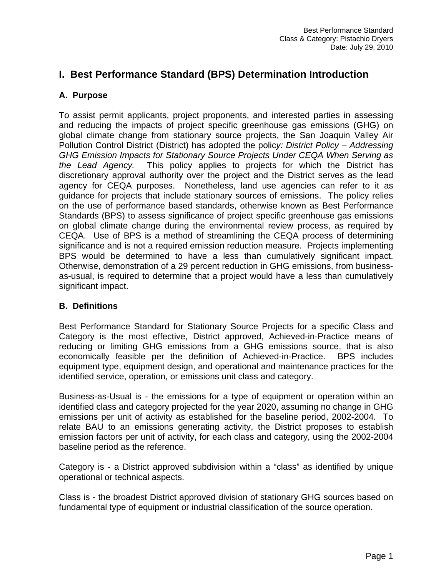## **I. Best Performance Standard (BPS) Determination Introduction**

### **A. Purpose**

To assist permit applicants, project proponents, and interested parties in assessing and reducing the impacts of project specific greenhouse gas emissions (GHG) on global climate change from stationary source projects, the San Joaquin Valley Air Pollution Control District (District) has adopted the polic*y: District Policy – Addressing GHG Emission Impacts for Stationary Source Projects Under CEQA When Serving as the Lead Agency.* This policy applies to projects for which the District has discretionary approval authority over the project and the District serves as the lead agency for CEQA purposes. Nonetheless, land use agencies can refer to it as guidance for projects that include stationary sources of emissions. The policy relies on the use of performance based standards, otherwise known as Best Performance Standards (BPS) to assess significance of project specific greenhouse gas emissions on global climate change during the environmental review process, as required by CEQA. Use of BPS is a method of streamlining the CEQA process of determining significance and is not a required emission reduction measure. Projects implementing BPS would be determined to have a less than cumulatively significant impact. Otherwise, demonstration of a 29 percent reduction in GHG emissions, from businessas-usual, is required to determine that a project would have a less than cumulatively significant impact.

#### **B. Definitions**

Best Performance Standard for Stationary Source Projects for a specific Class and Category is the most effective, District approved, Achieved-in-Practice means of reducing or limiting GHG emissions from a GHG emissions source, that is also economically feasible per the definition of Achieved-in-Practice. BPS includes equipment type, equipment design, and operational and maintenance practices for the identified service, operation, or emissions unit class and category.

Business-as-Usual is - the emissions for a type of equipment or operation within an identified class and category projected for the year 2020, assuming no change in GHG emissions per unit of activity as established for the baseline period, 2002-2004. To relate BAU to an emissions generating activity, the District proposes to establish emission factors per unit of activity, for each class and category, using the 2002-2004 baseline period as the reference.

Category is - a District approved subdivision within a "class" as identified by unique operational or technical aspects.

Class is - the broadest District approved division of stationary GHG sources based on fundamental type of equipment or industrial classification of the source operation.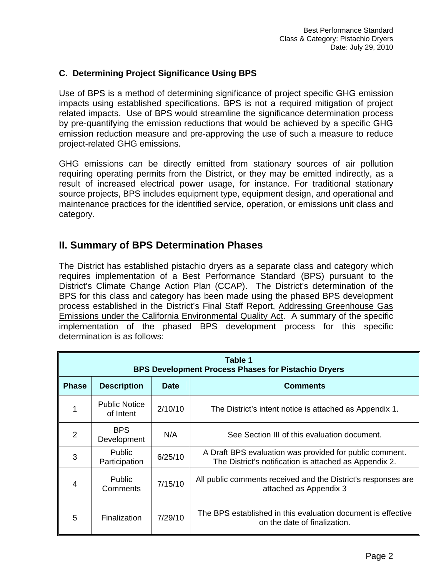#### **C. Determining Project Significance Using BPS**

Use of BPS is a method of determining significance of project specific GHG emission impacts using established specifications. BPS is not a required mitigation of project related impacts. Use of BPS would streamline the significance determination process by pre-quantifying the emission reductions that would be achieved by a specific GHG emission reduction measure and pre-approving the use of such a measure to reduce project-related GHG emissions.

GHG emissions can be directly emitted from stationary sources of air pollution requiring operating permits from the District, or they may be emitted indirectly, as a result of increased electrical power usage, for instance. For traditional stationary source projects, BPS includes equipment type, equipment design, and operational and maintenance practices for the identified service, operation, or emissions unit class and category.

## **II. Summary of BPS Determination Phases**

The District has established pistachio dryers as a separate class and category which requires implementation of a Best Performance Standard (BPS) pursuant to the District's Climate Change Action Plan (CCAP). The District's determination of the BPS for this class and category has been made using the phased BPS development process established in the District's Final Staff Report, Addressing Greenhouse Gas Emissions under the California Environmental Quality Act. A summary of the specific implementation of the phased BPS development process for this specific determination is as follows:

| Table 1<br><b>BPS Development Process Phases for Pistachio Dryers</b> |                                   |             |                                                                                                                   |
|-----------------------------------------------------------------------|-----------------------------------|-------------|-------------------------------------------------------------------------------------------------------------------|
| <b>Phase</b>                                                          | <b>Description</b>                | <b>Date</b> | <b>Comments</b>                                                                                                   |
|                                                                       | <b>Public Notice</b><br>of Intent | 2/10/10     | The District's intent notice is attached as Appendix 1.                                                           |
| 2                                                                     | <b>BPS</b><br>Development         | N/A         | See Section III of this evaluation document.                                                                      |
| 3                                                                     | Public<br>Participation           | 6/25/10     | A Draft BPS evaluation was provided for public comment.<br>The District's notification is attached as Appendix 2. |
| 4                                                                     | <b>Public</b><br>Comments         | 7/15/10     | All public comments received and the District's responses are<br>attached as Appendix 3                           |
| 5                                                                     | Finalization                      | 7/29/10     | The BPS established in this evaluation document is effective<br>on the date of finalization.                      |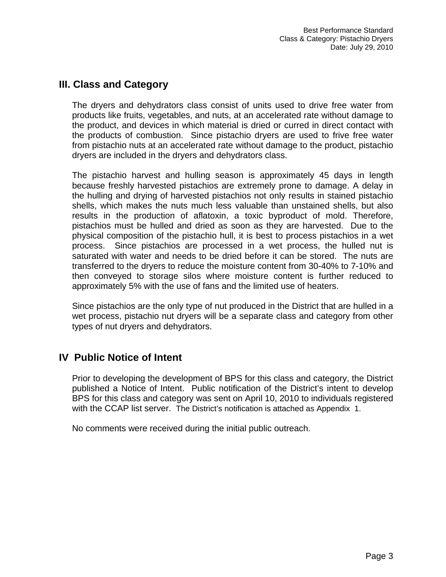## **III. Class and Category**

The dryers and dehydrators class consist of units used to drive free water from products like fruits, vegetables, and nuts, at an accelerated rate without damage to the product, and devices in which material is dried or curred in direct contact with the products of combustion. Since pistachio dryers are used to frive free water from pistachio nuts at an accelerated rate without damage to the product, pistachio dryers are included in the dryers and dehydrators class.

The pistachio harvest and hulling season is approximately 45 days in length because freshly harvested pistachios are extremely prone to damage. A delay in the hulling and drying of harvested pistachios not only results in stained pistachio shells, which makes the nuts much less valuable than unstained shells, but also results in the production of aflatoxin, a toxic byproduct of mold. Therefore, pistachios must be hulled and dried as soon as they are harvested. Due to the physical composition of the pistachio hull, it is best to process pistachios in a wet process. Since pistachios are processed in a wet process, the hulled nut is saturated with water and needs to be dried before it can be stored. The nuts are transferred to the dryers to reduce the moisture content from 30-40% to 7-10% and then conveyed to storage silos where moisture content is further reduced to approximately 5% with the use of fans and the limited use of heaters.

Since pistachios are the only type of nut produced in the District that are hulled in a wet process, pistachio nut dryers will be a separate class and category from other types of nut dryers and dehydrators.

## **IV Public Notice of Intent**

Prior to developing the development of BPS for this class and category, the District published a Notice of Intent. Public notification of the District's intent to develop BPS for this class and category was sent on April 10, 2010 to individuals registered with the CCAP list server. The District's notification is attached as Appendix 1.

No comments were received during the initial public outreach.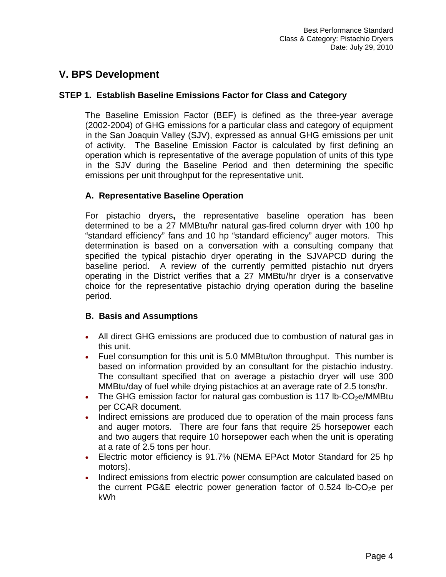## **V. BPS Development**

#### **STEP 1. Establish Baseline Emissions Factor for Class and Category**

The Baseline Emission Factor (BEF) is defined as the three-year average (2002-2004) of GHG emissions for a particular class and category of equipment in the San Joaquin Valley (SJV), expressed as annual GHG emissions per unit of activity. The Baseline Emission Factor is calculated by first defining an operation which is representative of the average population of units of this type in the SJV during the Baseline Period and then determining the specific emissions per unit throughput for the representative unit.

#### **A. Representative Baseline Operation**

For pistachio dryers**,** the representative baseline operation has been determined to be a 27 MMBtu/hr natural gas-fired column dryer with 100 hp "standard efficiency" fans and 10 hp "standard efficiency" auger motors. This determination is based on a conversation with a consulting company that specified the typical pistachio dryer operating in the SJVAPCD during the baseline period. A review of the currently permitted pistachio nut dryers operating in the District verifies that a 27 MMBtu/hr dryer is a conservative choice for the representative pistachio drying operation during the baseline period.

#### **B. Basis and Assumptions**

- All direct GHG emissions are produced due to combustion of natural gas in this unit.
- Fuel consumption for this unit is 5.0 MMBtu/ton throughput. This number is based on information provided by an consultant for the pistachio industry. The consultant specified that on average a pistachio dryer will use 300 MMBtu/day of fuel while drying pistachios at an average rate of 2.5 tons/hr.
- The GHG emission factor for natural gas combustion is 117 lb-CO<sub>2</sub>e/MMBtu per CCAR document.
- Indirect emissions are produced due to operation of the main process fans and auger motors. There are four fans that require 25 horsepower each and two augers that require 10 horsepower each when the unit is operating at a rate of 2.5 tons per hour.
- Electric motor efficiency is 91.7% (NEMA EPAct Motor Standard for 25 hp motors).
- Indirect emissions from electric power consumption are calculated based on the current PG&E electric power generation factor of  $0.524$  lb-CO<sub>2</sub>e per kWh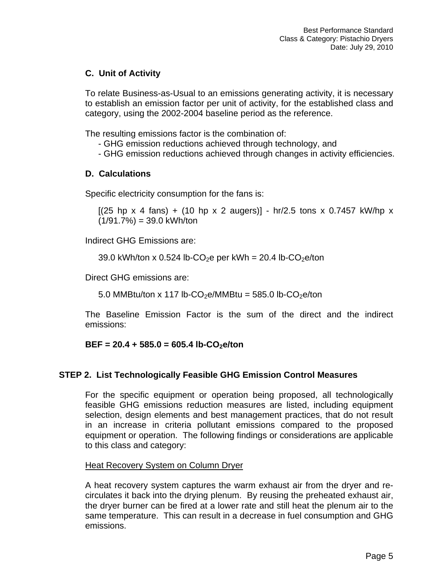### **C. Unit of Activity**

To relate Business-as-Usual to an emissions generating activity, it is necessary to establish an emission factor per unit of activity, for the established class and category, using the 2002-2004 baseline period as the reference.

The resulting emissions factor is the combination of:

- GHG emission reductions achieved through technology, and
- GHG emission reductions achieved through changes in activity efficiencies.

#### **D. Calculations**

Specific electricity consumption for the fans is:

 $[(25$  hp x 4 fans) + (10 hp x 2 augers)] - hr/2.5 tons x 0.7457 kW/hp x  $(1/91.7%) = 39.0$  kWh/ton

Indirect GHG Emissions are:

39.0 kWh/ton x 0.524 lb-CO<sub>2</sub>e per kWh = 20.4 lb-CO<sub>2</sub>e/ton

Direct GHG emissions are:

5.0 MMBtu/ton x 117 lb-CO<sub>2</sub>e/MMBtu = 585.0 lb-CO<sub>2</sub>e/ton

The Baseline Emission Factor is the sum of the direct and the indirect emissions:

#### **BEF = 20.4 + 585.0 = 605.4 lb-CO<sub>2</sub>e/ton**

#### **STEP 2. List Technologically Feasible GHG Emission Control Measures**

For the specific equipment or operation being proposed, all technologically feasible GHG emissions reduction measures are listed, including equipment selection, design elements and best management practices, that do not result in an increase in criteria pollutant emissions compared to the proposed equipment or operation. The following findings or considerations are applicable to this class and category:

#### Heat Recovery System on Column Dryer

A heat recovery system captures the warm exhaust air from the dryer and recirculates it back into the drying plenum. By reusing the preheated exhaust air, the dryer burner can be fired at a lower rate and still heat the plenum air to the same temperature. This can result in a decrease in fuel consumption and GHG emissions.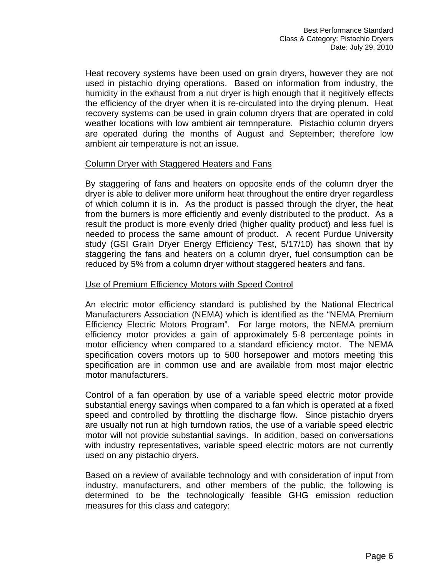Heat recovery systems have been used on grain dryers, however they are not used in pistachio drying operations. Based on information from industry, the humidity in the exhaust from a nut dryer is high enough that it negitively effects the efficiency of the dryer when it is re-circulated into the drying plenum. Heat recovery systems can be used in grain column dryers that are operated in cold weather locations with low ambient air temnperature. Pistachio column dryers are operated during the months of August and September; therefore low ambient air temperature is not an issue.

#### Column Dryer with Staggered Heaters and Fans

By staggering of fans and heaters on opposite ends of the column dryer the dryer is able to deliver more uniform heat throughout the entire dryer regardless of which column it is in. As the product is passed through the dryer, the heat from the burners is more efficiently and evenly distributed to the product. As a result the product is more evenly dried (higher quality product) and less fuel is needed to process the same amount of product. A recent Purdue University study (GSI Grain Dryer Energy Efficiency Test, 5/17/10) has shown that by staggering the fans and heaters on a column dryer, fuel consumption can be reduced by 5% from a column dryer without staggered heaters and fans.

#### Use of Premium Efficiency Motors with Speed Control

An electric motor efficiency standard is published by the National Electrical Manufacturers Association (NEMA) which is identified as the "NEMA Premium Efficiency Electric Motors Program". For large motors, the NEMA premium efficiency motor provides a gain of approximately 5-8 percentage points in motor efficiency when compared to a standard efficiency motor. The NEMA specification covers motors up to 500 horsepower and motors meeting this specification are in common use and are available from most major electric motor manufacturers.

Control of a fan operation by use of a variable speed electric motor provide substantial energy savings when compared to a fan which is operated at a fixed speed and controlled by throttling the discharge flow. Since pistachio dryers are usually not run at high turndown ratios, the use of a variable speed electric motor will not provide substantial savings. In addition, based on conversations with industry representatives, variable speed electric motors are not currently used on any pistachio dryers.

Based on a review of available technology and with consideration of input from industry, manufacturers, and other members of the public, the following is determined to be the technologically feasible GHG emission reduction measures for this class and category: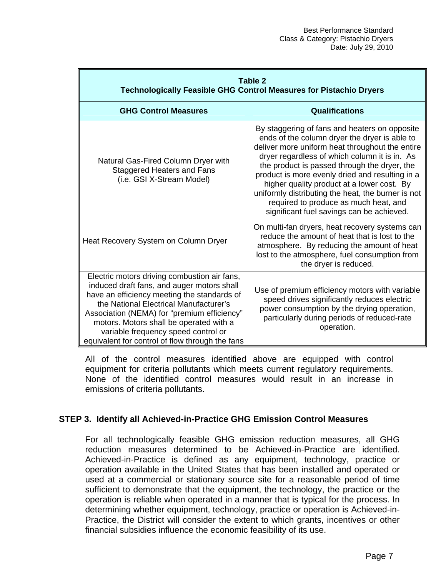| Table 2<br><b>Technologically Feasible GHG Control Measures for Pistachio Dryers</b>                                                                                                                                                                                                                                                                                    |                                                                                                                                                                                                                                                                                                                                                                                                                                                                                                 |  |
|-------------------------------------------------------------------------------------------------------------------------------------------------------------------------------------------------------------------------------------------------------------------------------------------------------------------------------------------------------------------------|-------------------------------------------------------------------------------------------------------------------------------------------------------------------------------------------------------------------------------------------------------------------------------------------------------------------------------------------------------------------------------------------------------------------------------------------------------------------------------------------------|--|
| <b>GHG Control Measures</b>                                                                                                                                                                                                                                                                                                                                             | <b>Qualifications</b>                                                                                                                                                                                                                                                                                                                                                                                                                                                                           |  |
| Natural Gas-Fired Column Dryer with<br><b>Staggered Heaters and Fans</b><br>(i.e. GSI X-Stream Model)                                                                                                                                                                                                                                                                   | By staggering of fans and heaters on opposite<br>ends of the column dryer the dryer is able to<br>deliver more uniform heat throughout the entire<br>dryer regardless of which column it is in. As<br>the product is passed through the dryer, the<br>product is more evenly dried and resulting in a<br>higher quality product at a lower cost. By<br>uniformly distributing the heat, the burner is not<br>required to produce as much heat, and<br>significant fuel savings can be achieved. |  |
| Heat Recovery System on Column Dryer                                                                                                                                                                                                                                                                                                                                    | On multi-fan dryers, heat recovery systems can<br>reduce the amount of heat that is lost to the<br>atmosphere. By reducing the amount of heat<br>lost to the atmosphere, fuel consumption from<br>the dryer is reduced.                                                                                                                                                                                                                                                                         |  |
| Electric motors driving combustion air fans,<br>induced draft fans, and auger motors shall<br>have an efficiency meeting the standards of<br>the National Electrical Manufacturer's<br>Association (NEMA) for "premium efficiency"<br>motors. Motors shall be operated with a<br>variable frequency speed control or<br>equivalent for control of flow through the fans | Use of premium efficiency motors with variable<br>speed drives significantly reduces electric<br>power consumption by the drying operation,<br>particularly during periods of reduced-rate<br>operation.                                                                                                                                                                                                                                                                                        |  |

All of the control measures identified above are equipped with control equipment for criteria pollutants which meets current regulatory requirements. None of the identified control measures would result in an increase in emissions of criteria pollutants.

#### **STEP 3. Identify all Achieved-in-Practice GHG Emission Control Measures**

For all technologically feasible GHG emission reduction measures, all GHG reduction measures determined to be Achieved-in-Practice are identified. Achieved-in-Practice is defined as any equipment, technology, practice or operation available in the United States that has been installed and operated or used at a commercial or stationary source site for a reasonable period of time sufficient to demonstrate that the equipment, the technology, the practice or the operation is reliable when operated in a manner that is typical for the process. In determining whether equipment, technology, practice or operation is Achieved-in-Practice, the District will consider the extent to which grants, incentives or other financial subsidies influence the economic feasibility of its use.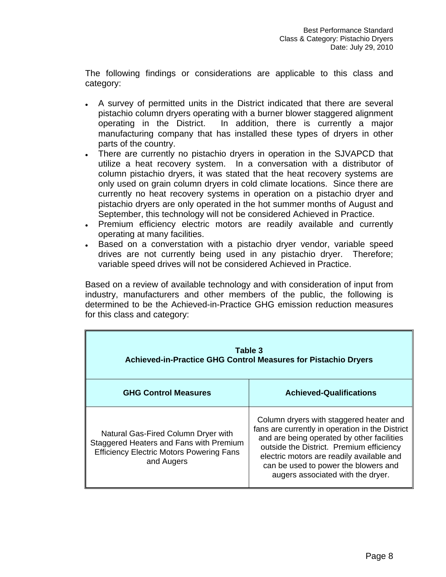The following findings or considerations are applicable to this class and category:

- A survey of permitted units in the District indicated that there are several pistachio column dryers operating with a burner blower staggered alignment operating in the District. In addition, there is currently a major manufacturing company that has installed these types of dryers in other parts of the country.
- There are currently no pistachio dryers in operation in the SJVAPCD that utilize a heat recovery system. In a conversation with a distributor of column pistachio dryers, it was stated that the heat recovery systems are only used on grain column dryers in cold climate locations. Since there are currently no heat recovery systems in operation on a pistachio dryer and pistachio dryers are only operated in the hot summer months of August and September, this technology will not be considered Achieved in Practice.
- Premium efficiency electric motors are readily available and currently operating at many facilities.
- Based on a converstation with a pistachio dryer vendor, variable speed drives are not currently being used in any pistachio dryer. Therefore; variable speed drives will not be considered Achieved in Practice.

Based on a review of available technology and with consideration of input from industry, manufacturers and other members of the public, the following is determined to be the Achieved-in-Practice GHG emission reduction measures for this class and category:

|                                                                                                                                                 | Table 3<br><b>Achieved-in-Practice GHG Control Measures for Pistachio Dryers</b>                                                                                                                                                                                                                               |
|-------------------------------------------------------------------------------------------------------------------------------------------------|----------------------------------------------------------------------------------------------------------------------------------------------------------------------------------------------------------------------------------------------------------------------------------------------------------------|
| <b>GHG Control Measures</b>                                                                                                                     | <b>Achieved-Qualifications</b>                                                                                                                                                                                                                                                                                 |
| Natural Gas-Fired Column Dryer with<br>Staggered Heaters and Fans with Premium<br><b>Efficiency Electric Motors Powering Fans</b><br>and Augers | Column dryers with staggered heater and<br>fans are currently in operation in the District<br>and are being operated by other facilities<br>outside the District. Premium efficiency<br>electric motors are readily available and<br>can be used to power the blowers and<br>augers associated with the dryer. |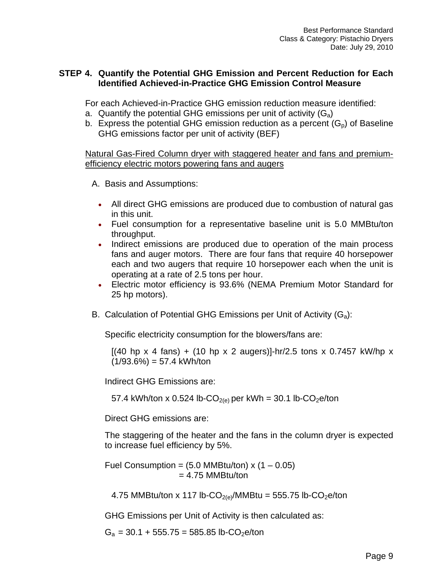#### **STEP 4. Quantify the Potential GHG Emission and Percent Reduction for Each Identified Achieved-in-Practice GHG Emission Control Measure**

For each Achieved-in-Practice GHG emission reduction measure identified:

- a. Quantify the potential GHG emissions per unit of activity  $(G_a)$
- b. Express the potential GHG emission reduction as a percent  $(G_0)$  of Baseline GHG emissions factor per unit of activity (BEF)

Natural Gas-Fired Column dryer with staggered heater and fans and premiumefficiency electric motors powering fans and augers

A. Basis and Assumptions:

- All direct GHG emissions are produced due to combustion of natural gas in this unit.
- Fuel consumption for a representative baseline unit is 5.0 MMBtu/ton throughput.
- Indirect emissions are produced due to operation of the main process fans and auger motors. There are four fans that require 40 horsepower each and two augers that require 10 horsepower each when the unit is operating at a rate of 2.5 tons per hour.
- Electric motor efficiency is 93.6% (NEMA Premium Motor Standard for 25 hp motors).
- B. Calculation of Potential GHG Emissions per Unit of Activity  $(G_a)$ :

Specific electricity consumption for the blowers/fans are:

 $[(40 \text{ hp } x 4 \text{ fans}) + (10 \text{ hp } x 2 \text{ augers})]$ -hr/2.5 tons x 0.7457 kW/hp x  $(1/93.6\%) = 57.4$  kWh/ton

Indirect GHG Emissions are:

57.4 kWh/ton x 0.524 lb-CO<sub>2(e)</sub> per kWh = 30.1 lb-CO<sub>2</sub>e/ton

Direct GHG emissions are:

The staggering of the heater and the fans in the column dryer is expected to increase fuel efficiency by 5%.

Fuel Consumption =  $(5.0 \text{ MMBtu/ton}) \times (1 - 0.05)$  $= 4.75$  MMBtu/ton

4.75 MMBtu/ton x 117 lb-CO<sub>2(e)</sub>/MMBtu = 555.75 lb-CO<sub>2</sub>e/ton

GHG Emissions per Unit of Activity is then calculated as:

 $G_a = 30.1 + 555.75 = 585.85$  lb-CO<sub>2</sub>e/ton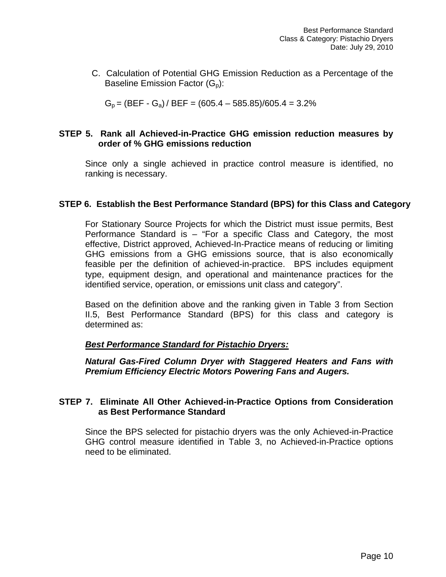C. Calculation of Potential GHG Emission Reduction as a Percentage of the Baseline Emission Factor  $(G_p)$ :

 $G_p = (BEF - G_a)/BEF = (605.4 - 585.85)/605.4 = 3.2\%$ 

#### **STEP 5. Rank all Achieved-in-Practice GHG emission reduction measures by order of % GHG emissions reduction**

Since only a single achieved in practice control measure is identified, no ranking is necessary.

#### **STEP 6. Establish the Best Performance Standard (BPS) for this Class and Category**

For Stationary Source Projects for which the District must issue permits, Best Performance Standard is – "For a specific Class and Category, the most effective, District approved, Achieved-In-Practice means of reducing or limiting GHG emissions from a GHG emissions source, that is also economically feasible per the definition of achieved-in-practice. BPS includes equipment type, equipment design, and operational and maintenance practices for the identified service, operation, or emissions unit class and category".

Based on the definition above and the ranking given in Table 3 from Section II.5, Best Performance Standard (BPS) for this class and category is determined as:

#### *Best Performance Standard for Pistachio Dryers:*

*Natural Gas-Fired Column Dryer with Staggered Heaters and Fans with Premium Efficiency Electric Motors Powering Fans and Augers.* 

#### **STEP 7. Eliminate All Other Achieved-in-Practice Options from Consideration as Best Performance Standard**

Since the BPS selected for pistachio dryers was the only Achieved-in-Practice GHG control measure identified in Table 3, no Achieved-in-Practice options need to be eliminated.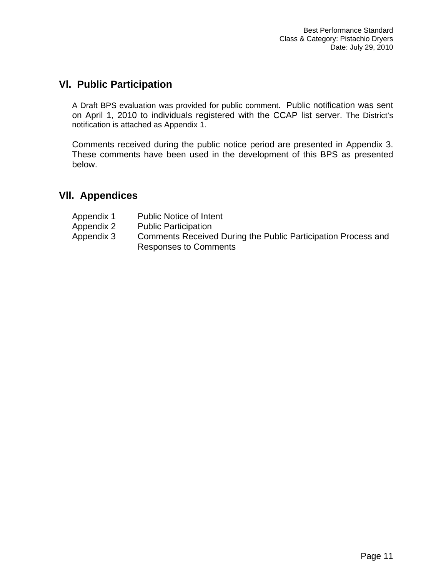## **Vl. Public Participation**

A Draft BPS evaluation was provided for public comment. Public notification was sent on April 1, 2010 to individuals registered with the CCAP list server. The District's notification is attached as Appendix 1.

Comments received during the public notice period are presented in Appendix 3. These comments have been used in the development of this BPS as presented below.

## **Vll. Appendices**

| Appendix 1 | <b>Public Notice of Intent</b>                                |
|------------|---------------------------------------------------------------|
| Appendix 2 | <b>Public Participation</b>                                   |
| Appendix 3 | Comments Received During the Public Participation Process and |
|            | <b>Responses to Comments</b>                                  |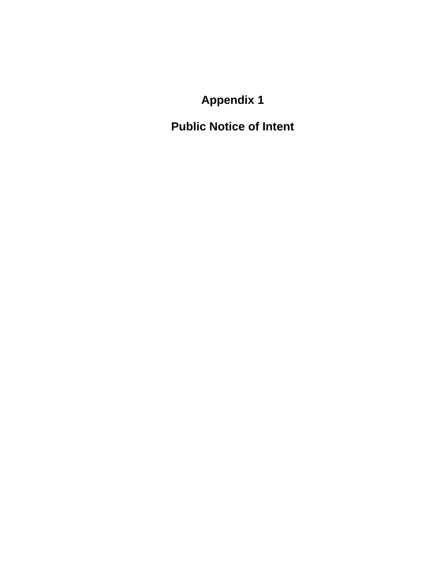**Appendix 1** 

**Public Notice of Intent**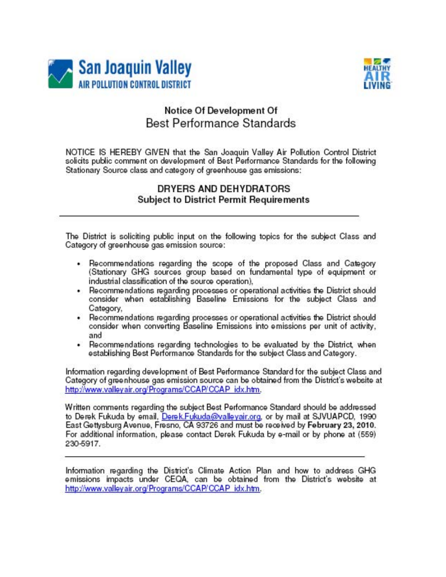



## Notice Of Development Of Best Performance Standards

NOTICE IS HEREBY GIVEN that the San Joaquin Valley Air Pollution Control District solicits public comment on development of Best Performance Standards for the following Stationary Source class and category of greenhouse gas emissions:

## DRYERS AND DEHYDRATORS Subject to District Permit Requirements

The District is soliciting public input on the following topics for the subject Class and Category of greenhouse gas emission source:

- Recommendations regarding the scope of the proposed Class and Category (Stationary GHG sources group based on fundamental type of equipment or industrial classification of the source operation).
- Recommendations regarding processes or operational activities the District should consider when establishing Baseline Emissions for the subject Class and Category,
- Recommendations regarding processes or operational activities the District should consider when converting Baseline Emissions into emissions per unit of activity, and
- Recommendations regarding technologies to be evaluated by the District, when establishing Best Performance Standards for the subject Class and Category.

Information regarding development of Best Performance Standard for the subject Class and Category of greenhouse gas emission source can be obtained from the District's website at http://www.valley.air.org/Programs/CCAP/CCAP\_idx.htm.

Written comments regarding the subject Best Performance Standard should be addressed to Derek Fukuda by email, Derek.Fukuda@valleyair.org, or by mail at SJVUAPCD, 1990 East Gettysburg Avenue, Fresno, CA 93726 and must be received by February 23, 2010. For additional information, please contact Derek Fukuda by e-mail or by phone at (559) 230-5917.

Information regarding the District's Climate Action Plan and how to address GHG emissions impacts under CEQA, can be obtained from the District's website at http://www.valleyair.org/Programs/CCAP/CCAP\_idx.htm.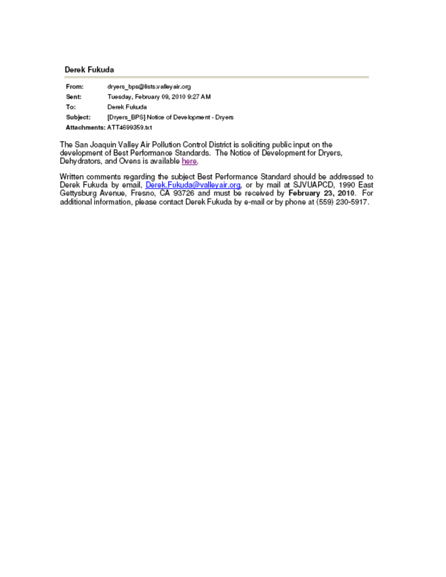#### Derek Fukuda

| From:    | dryers_bps@lists.valleyair.org              |
|----------|---------------------------------------------|
| Sent:    | Tuesday, February 09, 2010 9:27 AM          |
| To:      | Derek Fukuda                                |
| Subject: | [Dryers BPS] Notice of Development - Dryers |
|          | Attachments: ATT4699359.txt                 |

The San Joaquin Valley Air Pollution Control District is soliciting public input on the development of Best Performance Standards. The Notice of Development for Dryers, Dehydrators, and Ovens is available here.

Written comments regarding the subject Best Performance Standard should be addressed to Derek Fukuda by email, Derek.Fukuda@valleyair.org, or by mail at SJVUAPCD, 1990 East<br>Gettysburg Avenue, Fresno, CA 93726 and must be received by February 23, 2010. For additional information, please contact Derek Fukuda by e-mail or by phone at (559) 230-5917.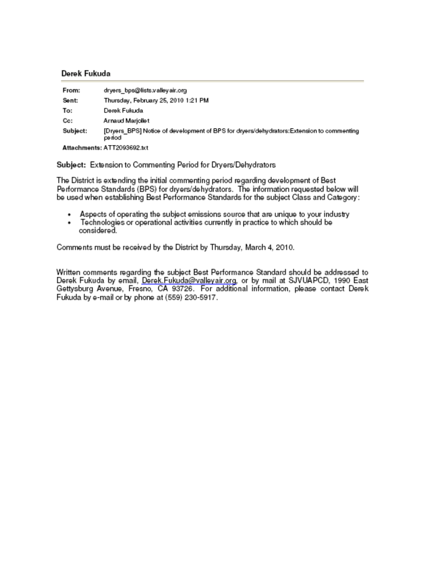#### Derek Fukuda

| From:    | dryers_bps@lists.valleyair.org                                                                     |
|----------|----------------------------------------------------------------------------------------------------|
| Sent:    | Thursday, February 25, 2010 1:21 PM                                                                |
| To:      | Derek Fukuda                                                                                       |
| Cc:      | Arnaud Marjollet                                                                                   |
| Subject: | [Dryers_BPS] Notice of development of BPS for dryers/dehydrators:Extension to commenting<br>period |
|          | Attachments: ATT2093692.txt                                                                        |

Subject: Extension to Commenting Period for Dryers/Dehydrators

The District is extending the initial commenting period regarding development of Best Performance Standards (BPS) for dryers/dehydrators. The information requested below will be used when establishing Best Performance Standards for the subject Class and Category:

- Aspects of operating the subject emissions source that are unique to your industry ٠
- . Technologies or operational activities currently in practice to which should be considered.

Comments must be received by the District by Thursday, March 4, 2010.

Written comments regarding the subject Best Performance Standard should be addressed to Derek Fukuda by email, Derek.Fukuda@valleyair.org, or by mail at SJVUAPCD, 1990 East Gettysburg Avenue, Fresno, CA 93726. For additional information, please contact Derek Fukuda by e-mail or by phone at (559) 230-5917.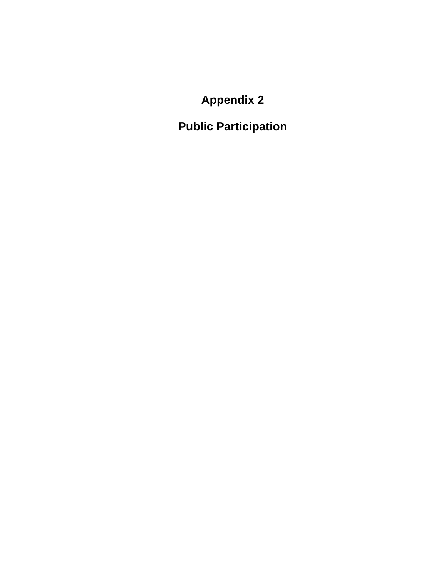**Appendix 2** 

**Public Participation**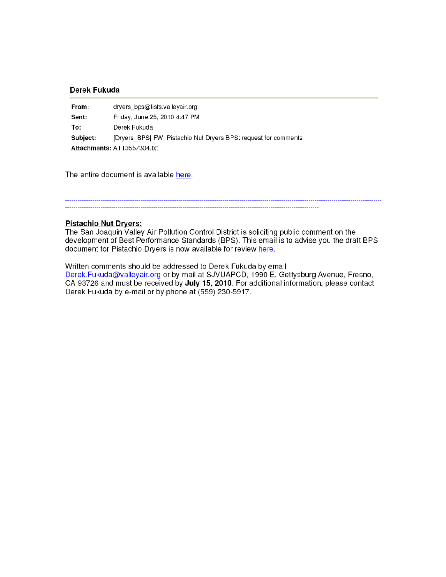#### Derek Fukuda

| From:                       | dryers bps@lists.valleyair.org                                  |
|-----------------------------|-----------------------------------------------------------------|
| Sent:                       | Friday, June 25, 2010 4:47 PM                                   |
| To:                         | Derek Fukuda                                                    |
| Subject:                    | [Dryers BPS] FW: Pistachio Nut Dryers BPS: request for comments |
| Attachments: ATT3557304.txt |                                                                 |

The entire document is available here.

#### **Pistachio Nut Dryers:**

The San Joaquin Valley Air Pollution Control District is soliciting public comment on the development of Best Performance Standards (BPS). This email is to advise you the draft BPS document for Pistachio Dryers is now available for review here.

Written comments should be addressed to Derek Fukuda by email Derek. Fukuda@valleyair.org or by mail at SJVUAPCD, 1990 E. Gettysburg Avenue, Fresno, CA 93726 and must be received by July 15, 2010. For additional information, please contact Derek Fukuda by e-mail or by phone at (559) 230-5917.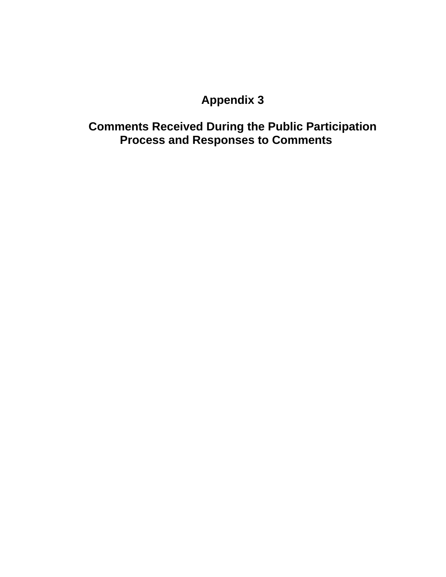# **Appendix 3**

# **Comments Received During the Public Participation Process and Responses to Comments**